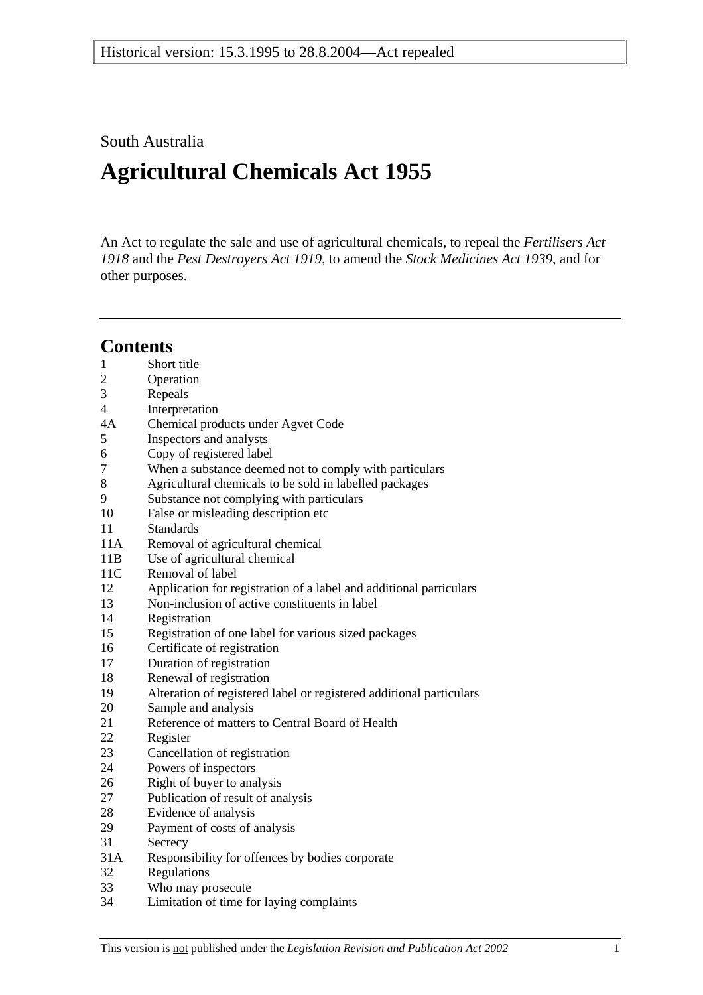## South Australia

# **Agricultural Chemicals Act 1955**

An Act to regulate the sale and use of agricultural chemicals, to repeal the *Fertilisers Act 1918* and the *Pest Destroyers Act 1919*, to amend the *Stock Medicines Act 1939*, and for other purposes.

# **Contents**

- 1 Short title
- 2 Operation
- 3 Repeals
- 4 Interpretation
- 4A Chemical products under Agvet Code
- 5 Inspectors and analysts
- 6 Copy of registered label
- 7 When a substance deemed not to comply with particulars
- 8 Agricultural chemicals to be sold in labelled packages
- 9 Substance not complying with particulars
- 10 False or misleading description etc
- 11 Standards
- 11A Removal of agricultural chemical
- 11B Use of agricultural chemical
- 11C Removal of label
- 12 Application for registration of a label and additional particulars
- 13 Non-inclusion of active constituents in label
- 14 Registration
- 15 Registration of one label for various sized packages
- 16 Certificate of registration
- 17 Duration of registration
- 18 Renewal of registration
- 19 Alteration of registered label or registered additional particulars
- 20 Sample and analysis
- 21 Reference of matters to Central Board of Health
- 22 Register
- 23 Cancellation of registration
- 24 Powers of inspectors
- 26 Right of buyer to analysis
- 27 Publication of result of analysis
- 28 Evidence of analysis
- 29 Payment of costs of analysis
- 31 Secrecy
- 31A Responsibility for offences by bodies corporate
- 32 Regulations
- 33 Who may prosecute
- 34 Limitation of time for laying complaints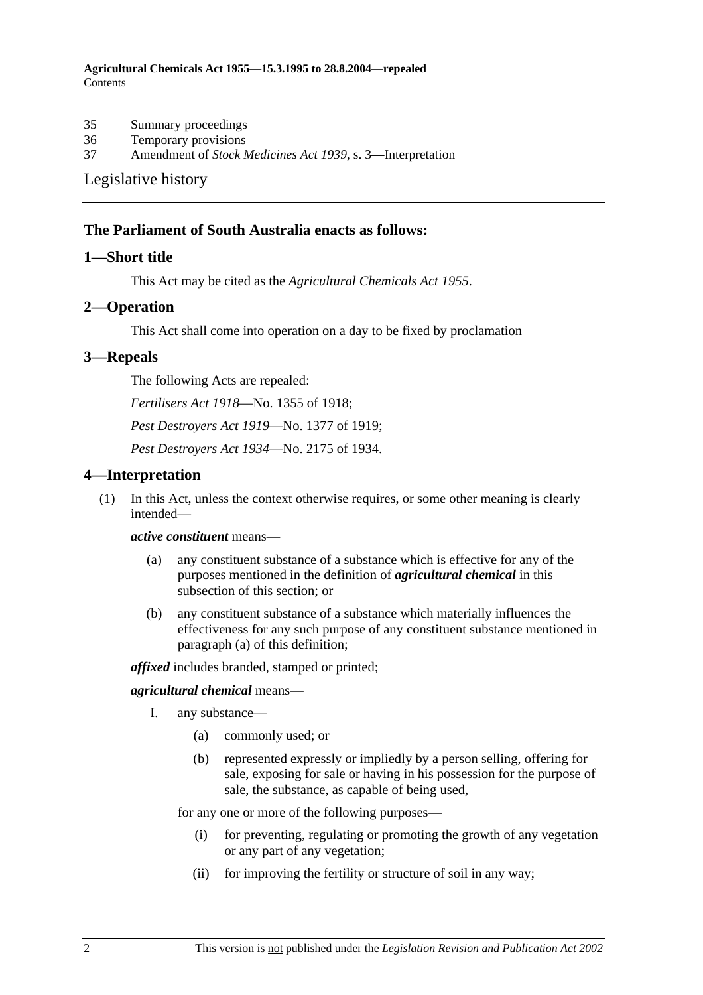35 Summary proceedings

36 Temporary provisions

37 Amendment of *Stock Medicines Act 1939*, s. 3—Interpretation

#### Legislative history

#### **The Parliament of South Australia enacts as follows:**

#### **1—Short title**

This Act may be cited as the *Agricultural Chemicals Act 1955*.

#### **2—Operation**

This Act shall come into operation on a day to be fixed by proclamation

#### **3—Repeals**

The following Acts are repealed:

*Fertilisers Act 1918*—No. 1355 of 1918;

*Pest Destroyers Act 1919*—No. 1377 of 1919;

*Pest Destroyers Act 1934*—No. 2175 of 1934.

#### **4—Interpretation**

 (1) In this Act, unless the context otherwise requires, or some other meaning is clearly intended—

#### *active constituent* means—

- (a) any constituent substance of a substance which is effective for any of the purposes mentioned in the definition of *agricultural chemical* in this subsection of this section; or
- (b) any constituent substance of a substance which materially influences the effectiveness for any such purpose of any constituent substance mentioned in paragraph (a) of this definition;

*affixed* includes branded, stamped or printed;

#### *agricultural chemical* means—

- I. any substance—
	- (a) commonly used; or
	- (b) represented expressly or impliedly by a person selling, offering for sale, exposing for sale or having in his possession for the purpose of sale, the substance, as capable of being used,

for any one or more of the following purposes—

- (i) for preventing, regulating or promoting the growth of any vegetation or any part of any vegetation;
- (ii) for improving the fertility or structure of soil in any way;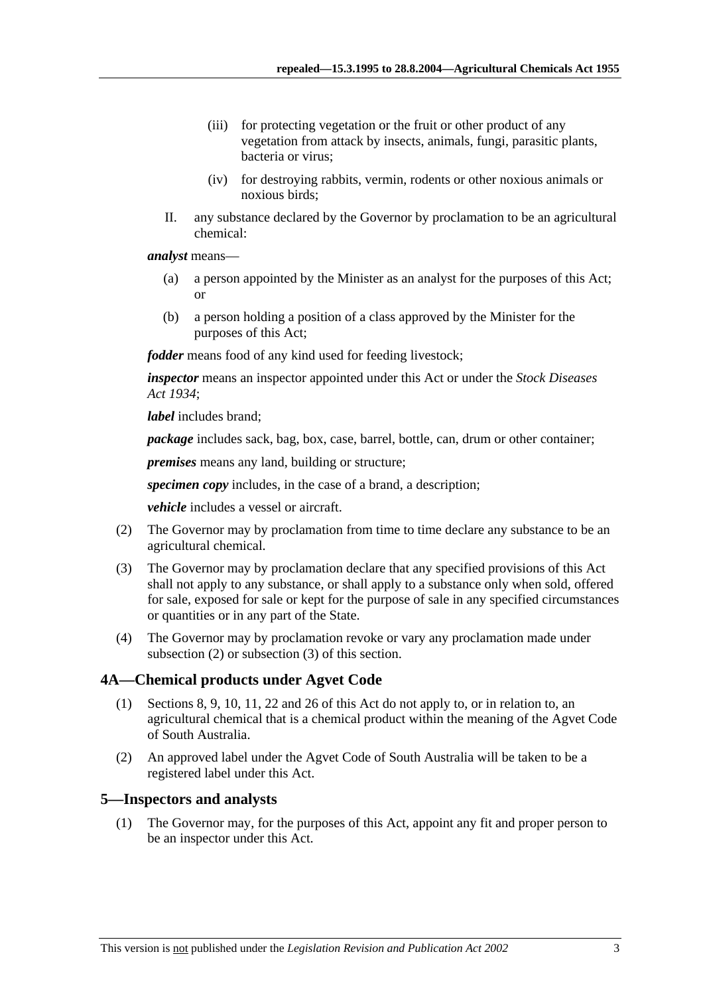- (iii) for protecting vegetation or the fruit or other product of any vegetation from attack by insects, animals, fungi, parasitic plants, bacteria or virus;
- (iv) for destroying rabbits, vermin, rodents or other noxious animals or noxious birds;
- II. any substance declared by the Governor by proclamation to be an agricultural chemical:

*analyst* means—

- (a) a person appointed by the Minister as an analyst for the purposes of this Act; or
- (b) a person holding a position of a class approved by the Minister for the purposes of this Act;

*fodder* means food of any kind used for feeding livestock;

*inspector* means an inspector appointed under this Act or under the *Stock Diseases Act 1934*;

*label* includes brand;

*package* includes sack, bag, box, case, barrel, bottle, can, drum or other container;

*premises* means any land, building or structure;

*specimen copy* includes, in the case of a brand, a description;

*vehicle* includes a vessel or aircraft.

- (2) The Governor may by proclamation from time to time declare any substance to be an agricultural chemical.
- (3) The Governor may by proclamation declare that any specified provisions of this Act shall not apply to any substance, or shall apply to a substance only when sold, offered for sale, exposed for sale or kept for the purpose of sale in any specified circumstances or quantities or in any part of the State.
- (4) The Governor may by proclamation revoke or vary any proclamation made under subsection (2) or subsection (3) of this section.

## **4A—Chemical products under Agvet Code**

- (1) Sections 8, 9, 10, 11, 22 and 26 of this Act do not apply to, or in relation to, an agricultural chemical that is a chemical product within the meaning of the Agvet Code of South Australia.
- (2) An approved label under the Agvet Code of South Australia will be taken to be a registered label under this Act.

## **5—Inspectors and analysts**

 (1) The Governor may, for the purposes of this Act, appoint any fit and proper person to be an inspector under this Act.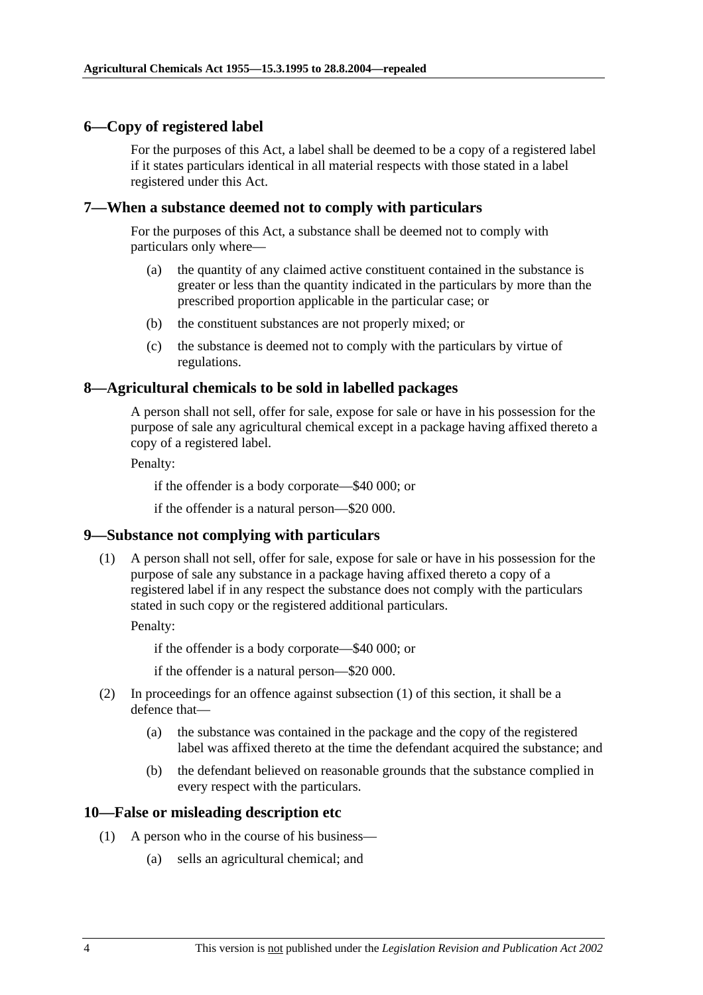## **6—Copy of registered label**

For the purposes of this Act, a label shall be deemed to be a copy of a registered label if it states particulars identical in all material respects with those stated in a label registered under this Act.

## **7—When a substance deemed not to comply with particulars**

For the purposes of this Act, a substance shall be deemed not to comply with particulars only where—

- (a) the quantity of any claimed active constituent contained in the substance is greater or less than the quantity indicated in the particulars by more than the prescribed proportion applicable in the particular case; or
- (b) the constituent substances are not properly mixed; or
- (c) the substance is deemed not to comply with the particulars by virtue of regulations.

## **8—Agricultural chemicals to be sold in labelled packages**

A person shall not sell, offer for sale, expose for sale or have in his possession for the purpose of sale any agricultural chemical except in a package having affixed thereto a copy of a registered label.

Penalty:

if the offender is a body corporate—\$40 000; or

if the offender is a natural person—\$20 000.

## **9—Substance not complying with particulars**

 (1) A person shall not sell, offer for sale, expose for sale or have in his possession for the purpose of sale any substance in a package having affixed thereto a copy of a registered label if in any respect the substance does not comply with the particulars stated in such copy or the registered additional particulars.

Penalty:

if the offender is a body corporate—\$40 000; or

if the offender is a natural person—\$20 000.

- (2) In proceedings for an offence against subsection (1) of this section, it shall be a defence that—
	- (a) the substance was contained in the package and the copy of the registered label was affixed thereto at the time the defendant acquired the substance; and
	- (b) the defendant believed on reasonable grounds that the substance complied in every respect with the particulars.

## **10—False or misleading description etc**

- (1) A person who in the course of his business—
	- (a) sells an agricultural chemical; and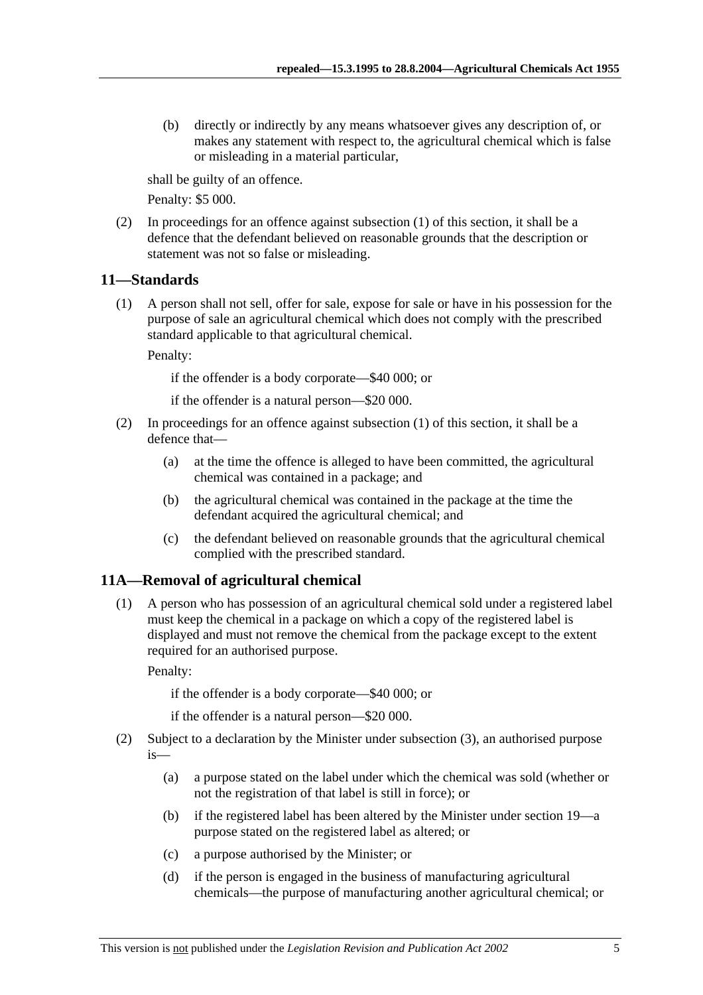(b) directly or indirectly by any means whatsoever gives any description of, or makes any statement with respect to, the agricultural chemical which is false or misleading in a material particular,

shall be guilty of an offence.

Penalty: \$5 000.

 (2) In proceedings for an offence against subsection (1) of this section, it shall be a defence that the defendant believed on reasonable grounds that the description or statement was not so false or misleading.

#### **11—Standards**

 (1) A person shall not sell, offer for sale, expose for sale or have in his possession for the purpose of sale an agricultural chemical which does not comply with the prescribed standard applicable to that agricultural chemical.

Penalty:

if the offender is a body corporate—\$40 000; or

if the offender is a natural person—\$20 000.

- (2) In proceedings for an offence against subsection (1) of this section, it shall be a defence that—
	- (a) at the time the offence is alleged to have been committed, the agricultural chemical was contained in a package; and
	- (b) the agricultural chemical was contained in the package at the time the defendant acquired the agricultural chemical; and
	- (c) the defendant believed on reasonable grounds that the agricultural chemical complied with the prescribed standard.

## **11A—Removal of agricultural chemical**

 (1) A person who has possession of an agricultural chemical sold under a registered label must keep the chemical in a package on which a copy of the registered label is displayed and must not remove the chemical from the package except to the extent required for an authorised purpose.

Penalty:

if the offender is a body corporate—\$40 000; or

if the offender is a natural person—\$20 000.

- (2) Subject to a declaration by the Minister under subsection (3), an authorised purpose is—
	- (a) a purpose stated on the label under which the chemical was sold (whether or not the registration of that label is still in force); or
	- (b) if the registered label has been altered by the Minister under section 19—a purpose stated on the registered label as altered; or
	- (c) a purpose authorised by the Minister; or
	- (d) if the person is engaged in the business of manufacturing agricultural chemicals—the purpose of manufacturing another agricultural chemical; or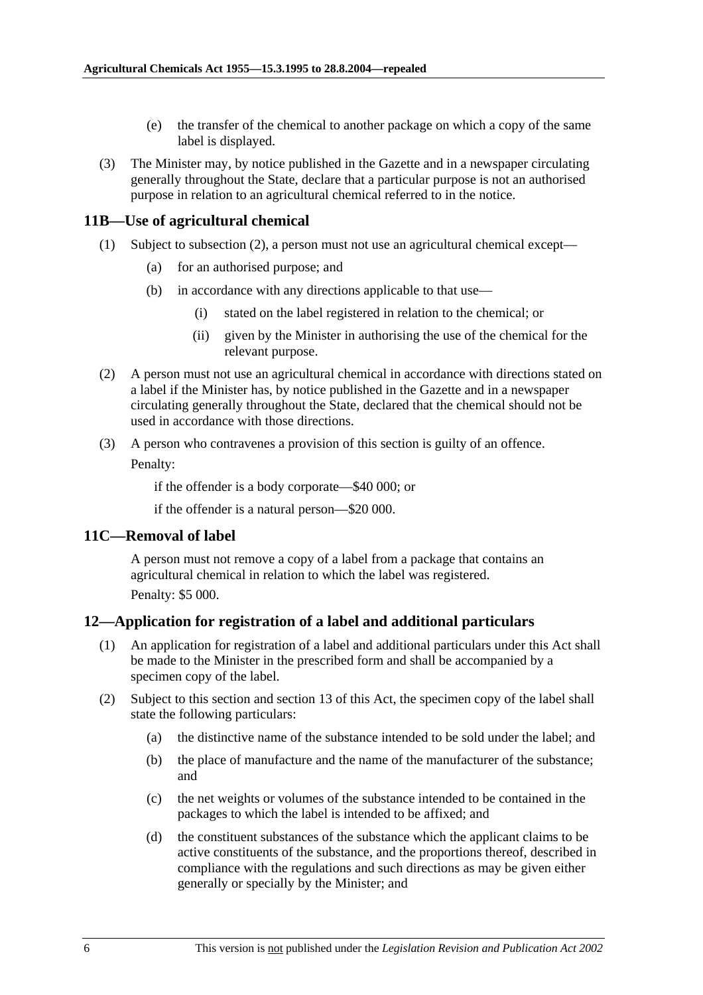- (e) the transfer of the chemical to another package on which a copy of the same label is displayed.
- (3) The Minister may, by notice published in the Gazette and in a newspaper circulating generally throughout the State, declare that a particular purpose is not an authorised purpose in relation to an agricultural chemical referred to in the notice.

#### **11B—Use of agricultural chemical**

- (1) Subject to subsection (2), a person must not use an agricultural chemical except—
	- (a) for an authorised purpose; and
	- (b) in accordance with any directions applicable to that use—
		- (i) stated on the label registered in relation to the chemical; or
		- (ii) given by the Minister in authorising the use of the chemical for the relevant purpose.
- (2) A person must not use an agricultural chemical in accordance with directions stated on a label if the Minister has, by notice published in the Gazette and in a newspaper circulating generally throughout the State, declared that the chemical should not be used in accordance with those directions.
- (3) A person who contravenes a provision of this section is guilty of an offence.

Penalty:

if the offender is a body corporate—\$40 000; or

if the offender is a natural person—\$20 000.

#### **11C—Removal of label**

A person must not remove a copy of a label from a package that contains an agricultural chemical in relation to which the label was registered. Penalty: \$5 000.

#### **12—Application for registration of a label and additional particulars**

- (1) An application for registration of a label and additional particulars under this Act shall be made to the Minister in the prescribed form and shall be accompanied by a specimen copy of the label.
- (2) Subject to this section and section 13 of this Act, the specimen copy of the label shall state the following particulars:
	- (a) the distinctive name of the substance intended to be sold under the label; and
	- (b) the place of manufacture and the name of the manufacturer of the substance; and
	- (c) the net weights or volumes of the substance intended to be contained in the packages to which the label is intended to be affixed; and
	- (d) the constituent substances of the substance which the applicant claims to be active constituents of the substance, and the proportions thereof, described in compliance with the regulations and such directions as may be given either generally or specially by the Minister; and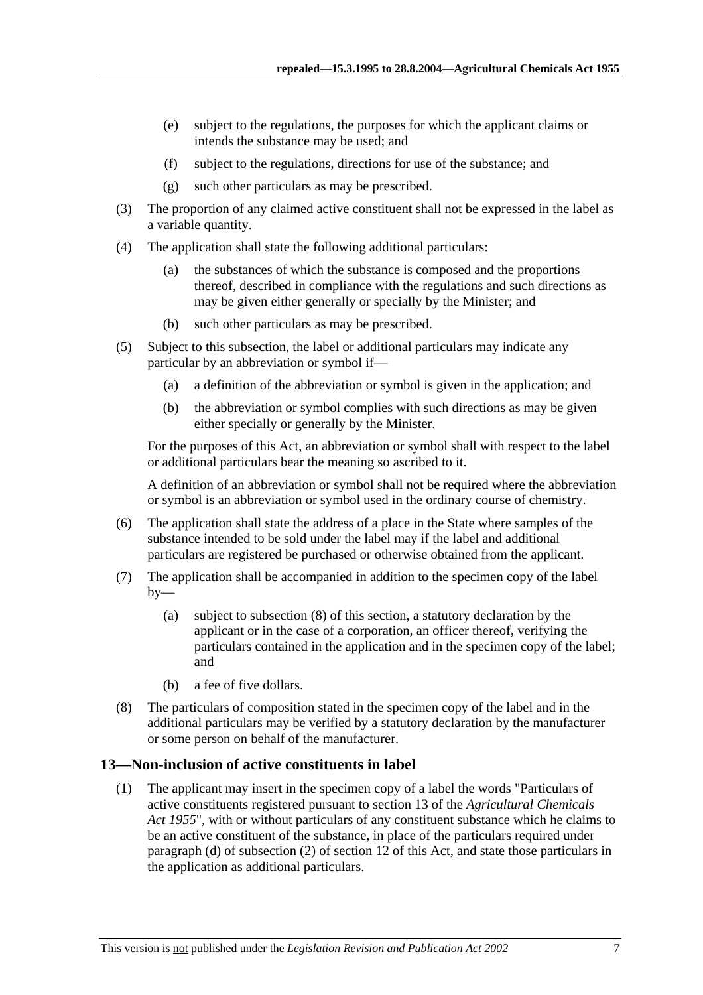- (e) subject to the regulations, the purposes for which the applicant claims or intends the substance may be used; and
- (f) subject to the regulations, directions for use of the substance; and
- (g) such other particulars as may be prescribed.
- (3) The proportion of any claimed active constituent shall not be expressed in the label as a variable quantity.
- (4) The application shall state the following additional particulars:
	- (a) the substances of which the substance is composed and the proportions thereof, described in compliance with the regulations and such directions as may be given either generally or specially by the Minister; and
	- (b) such other particulars as may be prescribed.
- (5) Subject to this subsection, the label or additional particulars may indicate any particular by an abbreviation or symbol if—
	- (a) a definition of the abbreviation or symbol is given in the application; and
	- (b) the abbreviation or symbol complies with such directions as may be given either specially or generally by the Minister.

For the purposes of this Act, an abbreviation or symbol shall with respect to the label or additional particulars bear the meaning so ascribed to it.

A definition of an abbreviation or symbol shall not be required where the abbreviation or symbol is an abbreviation or symbol used in the ordinary course of chemistry.

- (6) The application shall state the address of a place in the State where samples of the substance intended to be sold under the label may if the label and additional particulars are registered be purchased or otherwise obtained from the applicant.
- (7) The application shall be accompanied in addition to the specimen copy of the label  $by-$ 
	- (a) subject to subsection (8) of this section, a statutory declaration by the applicant or in the case of a corporation, an officer thereof, verifying the particulars contained in the application and in the specimen copy of the label; and
	- (b) a fee of five dollars.
- (8) The particulars of composition stated in the specimen copy of the label and in the additional particulars may be verified by a statutory declaration by the manufacturer or some person on behalf of the manufacturer.

## **13—Non-inclusion of active constituents in label**

 (1) The applicant may insert in the specimen copy of a label the words "Particulars of active constituents registered pursuant to section 13 of the *Agricultural Chemicals Act 1955*", with or without particulars of any constituent substance which he claims to be an active constituent of the substance, in place of the particulars required under paragraph (d) of subsection (2) of section 12 of this Act, and state those particulars in the application as additional particulars.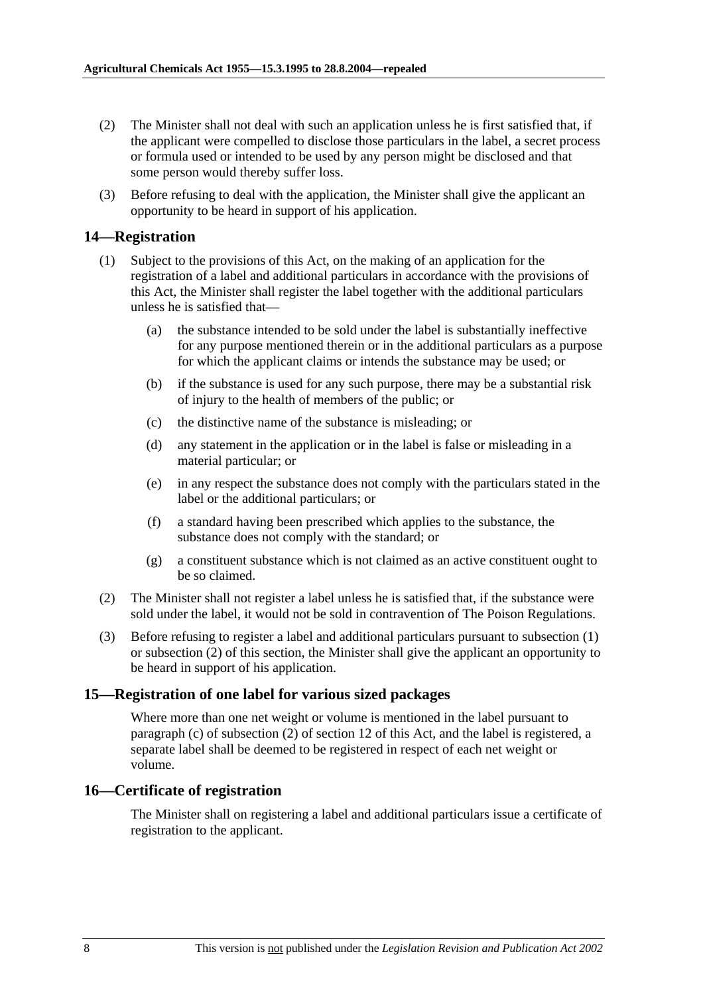- (2) The Minister shall not deal with such an application unless he is first satisfied that, if the applicant were compelled to disclose those particulars in the label, a secret process or formula used or intended to be used by any person might be disclosed and that some person would thereby suffer loss.
- (3) Before refusing to deal with the application, the Minister shall give the applicant an opportunity to be heard in support of his application.

## **14—Registration**

- (1) Subject to the provisions of this Act, on the making of an application for the registration of a label and additional particulars in accordance with the provisions of this Act, the Minister shall register the label together with the additional particulars unless he is satisfied that—
	- (a) the substance intended to be sold under the label is substantially ineffective for any purpose mentioned therein or in the additional particulars as a purpose for which the applicant claims or intends the substance may be used; or
	- (b) if the substance is used for any such purpose, there may be a substantial risk of injury to the health of members of the public; or
	- (c) the distinctive name of the substance is misleading; or
	- (d) any statement in the application or in the label is false or misleading in a material particular; or
	- (e) in any respect the substance does not comply with the particulars stated in the label or the additional particulars; or
	- (f) a standard having been prescribed which applies to the substance, the substance does not comply with the standard; or
	- (g) a constituent substance which is not claimed as an active constituent ought to be so claimed.
- (2) The Minister shall not register a label unless he is satisfied that, if the substance were sold under the label, it would not be sold in contravention of The Poison Regulations.
- (3) Before refusing to register a label and additional particulars pursuant to subsection (1) or subsection (2) of this section, the Minister shall give the applicant an opportunity to be heard in support of his application.

## **15—Registration of one label for various sized packages**

Where more than one net weight or volume is mentioned in the label pursuant to paragraph (c) of subsection (2) of section 12 of this Act, and the label is registered, a separate label shall be deemed to be registered in respect of each net weight or volume.

## **16—Certificate of registration**

The Minister shall on registering a label and additional particulars issue a certificate of registration to the applicant.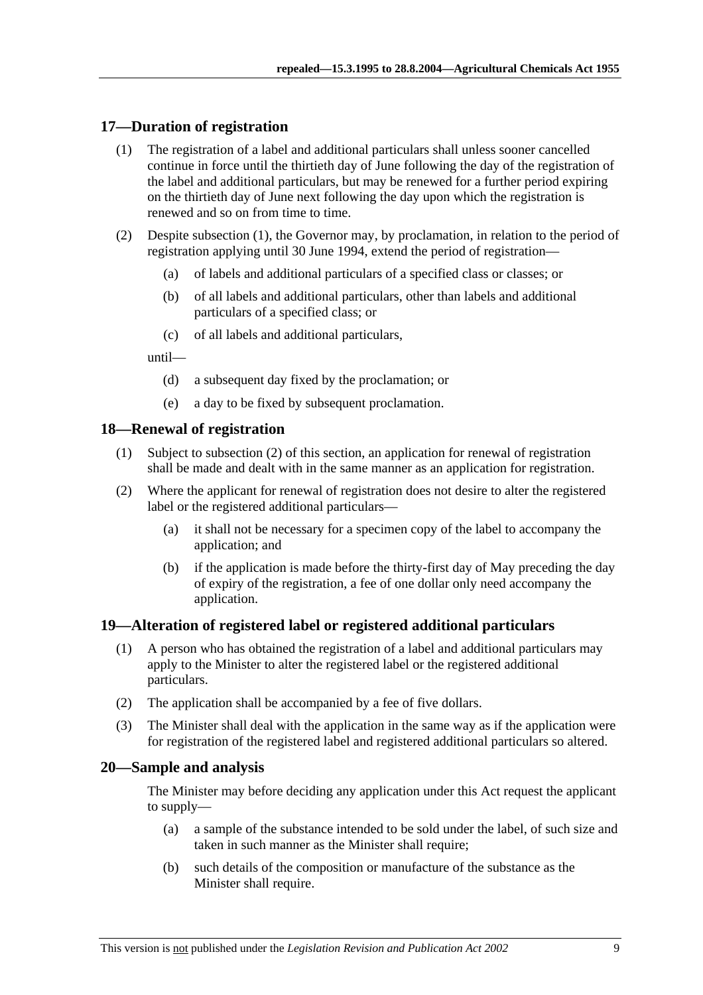## **17—Duration of registration**

- (1) The registration of a label and additional particulars shall unless sooner cancelled continue in force until the thirtieth day of June following the day of the registration of the label and additional particulars, but may be renewed for a further period expiring on the thirtieth day of June next following the day upon which the registration is renewed and so on from time to time.
- (2) Despite subsection (1), the Governor may, by proclamation, in relation to the period of registration applying until 30 June 1994, extend the period of registration—
	- (a) of labels and additional particulars of a specified class or classes; or
	- (b) of all labels and additional particulars, other than labels and additional particulars of a specified class; or
	- (c) of all labels and additional particulars,

until—

- (d) a subsequent day fixed by the proclamation; or
- (e) a day to be fixed by subsequent proclamation.

## **18—Renewal of registration**

- (1) Subject to subsection (2) of this section, an application for renewal of registration shall be made and dealt with in the same manner as an application for registration.
- (2) Where the applicant for renewal of registration does not desire to alter the registered label or the registered additional particulars—
	- (a) it shall not be necessary for a specimen copy of the label to accompany the application; and
	- (b) if the application is made before the thirty-first day of May preceding the day of expiry of the registration, a fee of one dollar only need accompany the application.

## **19—Alteration of registered label or registered additional particulars**

- (1) A person who has obtained the registration of a label and additional particulars may apply to the Minister to alter the registered label or the registered additional particulars.
- (2) The application shall be accompanied by a fee of five dollars.
- (3) The Minister shall deal with the application in the same way as if the application were for registration of the registered label and registered additional particulars so altered.

## **20—Sample and analysis**

The Minister may before deciding any application under this Act request the applicant to supply—

- (a) a sample of the substance intended to be sold under the label, of such size and taken in such manner as the Minister shall require;
- (b) such details of the composition or manufacture of the substance as the Minister shall require.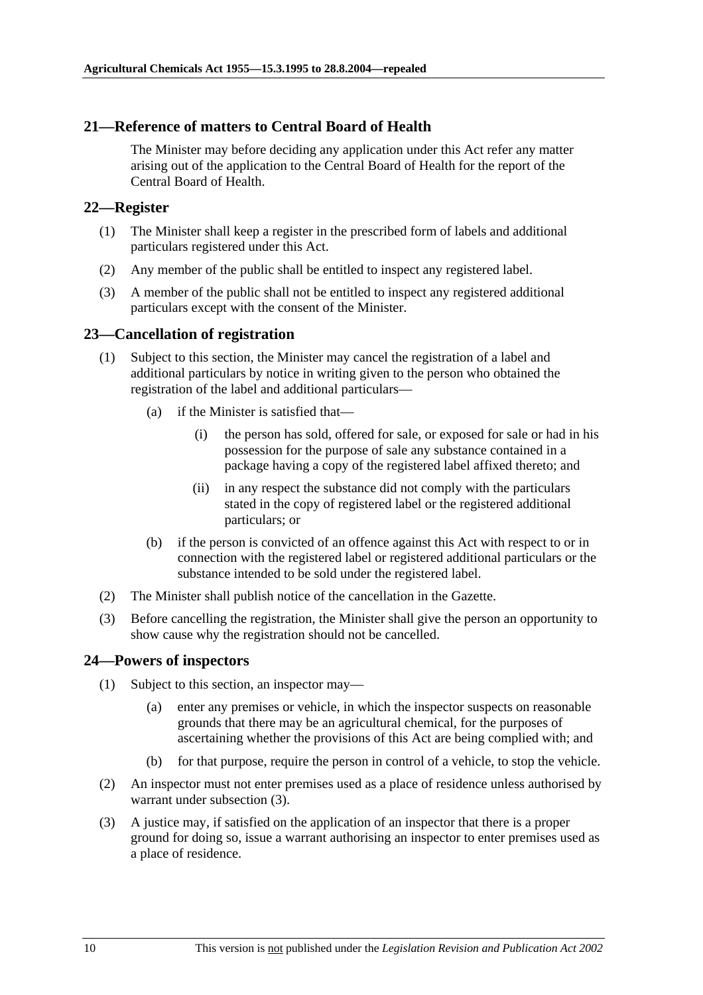## **21—Reference of matters to Central Board of Health**

The Minister may before deciding any application under this Act refer any matter arising out of the application to the Central Board of Health for the report of the Central Board of Health.

#### **22—Register**

- (1) The Minister shall keep a register in the prescribed form of labels and additional particulars registered under this Act.
- (2) Any member of the public shall be entitled to inspect any registered label.
- (3) A member of the public shall not be entitled to inspect any registered additional particulars except with the consent of the Minister.

## **23—Cancellation of registration**

- (1) Subject to this section, the Minister may cancel the registration of a label and additional particulars by notice in writing given to the person who obtained the registration of the label and additional particulars—
	- (a) if the Minister is satisfied that—
		- (i) the person has sold, offered for sale, or exposed for sale or had in his possession for the purpose of sale any substance contained in a package having a copy of the registered label affixed thereto; and
		- (ii) in any respect the substance did not comply with the particulars stated in the copy of registered label or the registered additional particulars; or
	- (b) if the person is convicted of an offence against this Act with respect to or in connection with the registered label or registered additional particulars or the substance intended to be sold under the registered label.
- (2) The Minister shall publish notice of the cancellation in the Gazette.
- (3) Before cancelling the registration, the Minister shall give the person an opportunity to show cause why the registration should not be cancelled.

## **24—Powers of inspectors**

- (1) Subject to this section, an inspector may—
	- (a) enter any premises or vehicle, in which the inspector suspects on reasonable grounds that there may be an agricultural chemical, for the purposes of ascertaining whether the provisions of this Act are being complied with; and
	- (b) for that purpose, require the person in control of a vehicle, to stop the vehicle.
- (2) An inspector must not enter premises used as a place of residence unless authorised by warrant under subsection (3).
- (3) A justice may, if satisfied on the application of an inspector that there is a proper ground for doing so, issue a warrant authorising an inspector to enter premises used as a place of residence.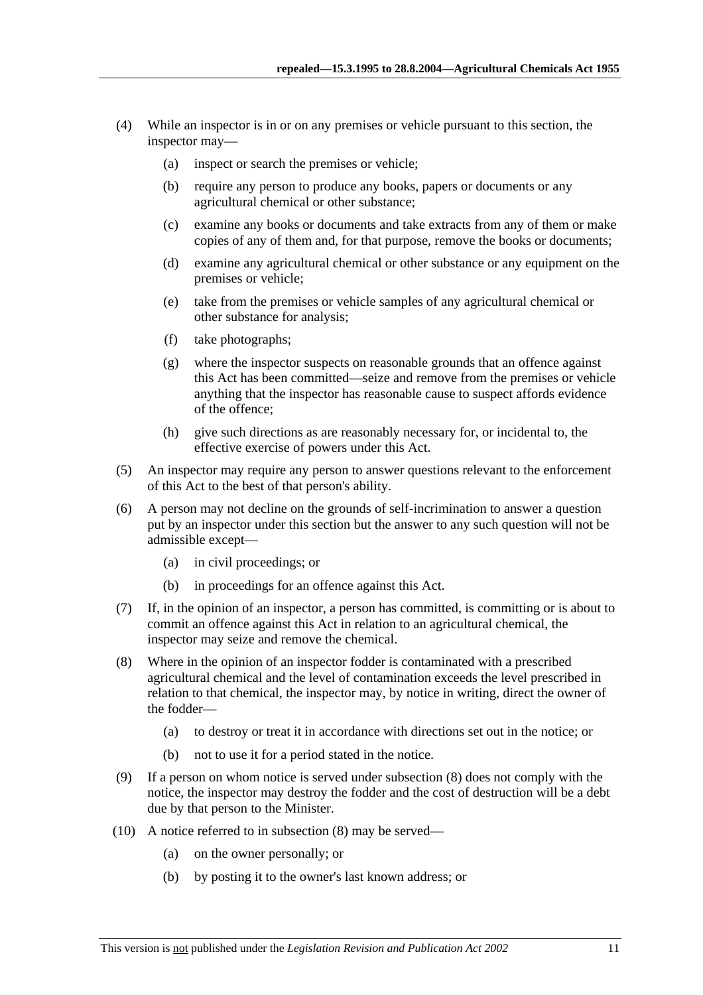- (4) While an inspector is in or on any premises or vehicle pursuant to this section, the inspector may—
	- (a) inspect or search the premises or vehicle;
	- (b) require any person to produce any books, papers or documents or any agricultural chemical or other substance;
	- (c) examine any books or documents and take extracts from any of them or make copies of any of them and, for that purpose, remove the books or documents;
	- (d) examine any agricultural chemical or other substance or any equipment on the premises or vehicle;
	- (e) take from the premises or vehicle samples of any agricultural chemical or other substance for analysis;
	- (f) take photographs;
	- (g) where the inspector suspects on reasonable grounds that an offence against this Act has been committed—seize and remove from the premises or vehicle anything that the inspector has reasonable cause to suspect affords evidence of the offence;
	- (h) give such directions as are reasonably necessary for, or incidental to, the effective exercise of powers under this Act.
- (5) An inspector may require any person to answer questions relevant to the enforcement of this Act to the best of that person's ability.
- (6) A person may not decline on the grounds of self-incrimination to answer a question put by an inspector under this section but the answer to any such question will not be admissible except—
	- (a) in civil proceedings; or
	- (b) in proceedings for an offence against this Act.
- (7) If, in the opinion of an inspector, a person has committed, is committing or is about to commit an offence against this Act in relation to an agricultural chemical, the inspector may seize and remove the chemical.
- (8) Where in the opinion of an inspector fodder is contaminated with a prescribed agricultural chemical and the level of contamination exceeds the level prescribed in relation to that chemical, the inspector may, by notice in writing, direct the owner of the fodder—
	- (a) to destroy or treat it in accordance with directions set out in the notice; or
	- (b) not to use it for a period stated in the notice.
- (9) If a person on whom notice is served under subsection (8) does not comply with the notice, the inspector may destroy the fodder and the cost of destruction will be a debt due by that person to the Minister.
- (10) A notice referred to in subsection (8) may be served—
	- (a) on the owner personally; or
	- (b) by posting it to the owner's last known address; or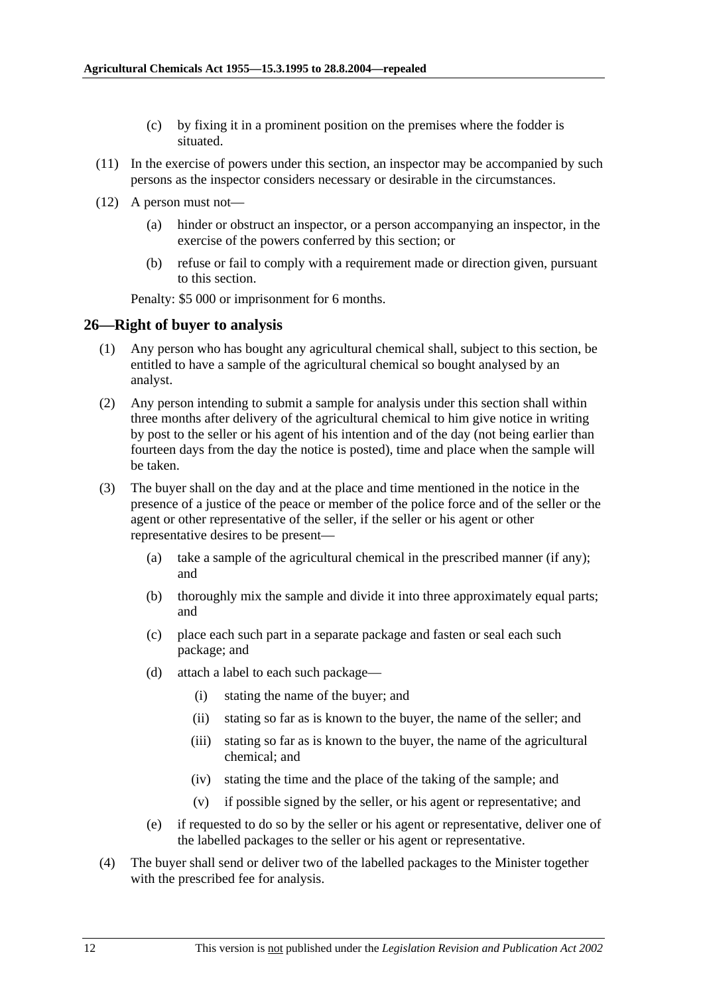- (c) by fixing it in a prominent position on the premises where the fodder is situated.
- (11) In the exercise of powers under this section, an inspector may be accompanied by such persons as the inspector considers necessary or desirable in the circumstances.
- (12) A person must not—
	- (a) hinder or obstruct an inspector, or a person accompanying an inspector, in the exercise of the powers conferred by this section; or
	- (b) refuse or fail to comply with a requirement made or direction given, pursuant to this section.

Penalty: \$5 000 or imprisonment for 6 months.

#### **26—Right of buyer to analysis**

- (1) Any person who has bought any agricultural chemical shall, subject to this section, be entitled to have a sample of the agricultural chemical so bought analysed by an analyst.
- (2) Any person intending to submit a sample for analysis under this section shall within three months after delivery of the agricultural chemical to him give notice in writing by post to the seller or his agent of his intention and of the day (not being earlier than fourteen days from the day the notice is posted), time and place when the sample will be taken.
- (3) The buyer shall on the day and at the place and time mentioned in the notice in the presence of a justice of the peace or member of the police force and of the seller or the agent or other representative of the seller, if the seller or his agent or other representative desires to be present—
	- (a) take a sample of the agricultural chemical in the prescribed manner (if any); and
	- (b) thoroughly mix the sample and divide it into three approximately equal parts; and
	- (c) place each such part in a separate package and fasten or seal each such package; and
	- (d) attach a label to each such package—
		- (i) stating the name of the buyer; and
		- (ii) stating so far as is known to the buyer, the name of the seller; and
		- (iii) stating so far as is known to the buyer, the name of the agricultural chemical; and
		- (iv) stating the time and the place of the taking of the sample; and
		- (v) if possible signed by the seller, or his agent or representative; and
	- (e) if requested to do so by the seller or his agent or representative, deliver one of the labelled packages to the seller or his agent or representative.
- (4) The buyer shall send or deliver two of the labelled packages to the Minister together with the prescribed fee for analysis.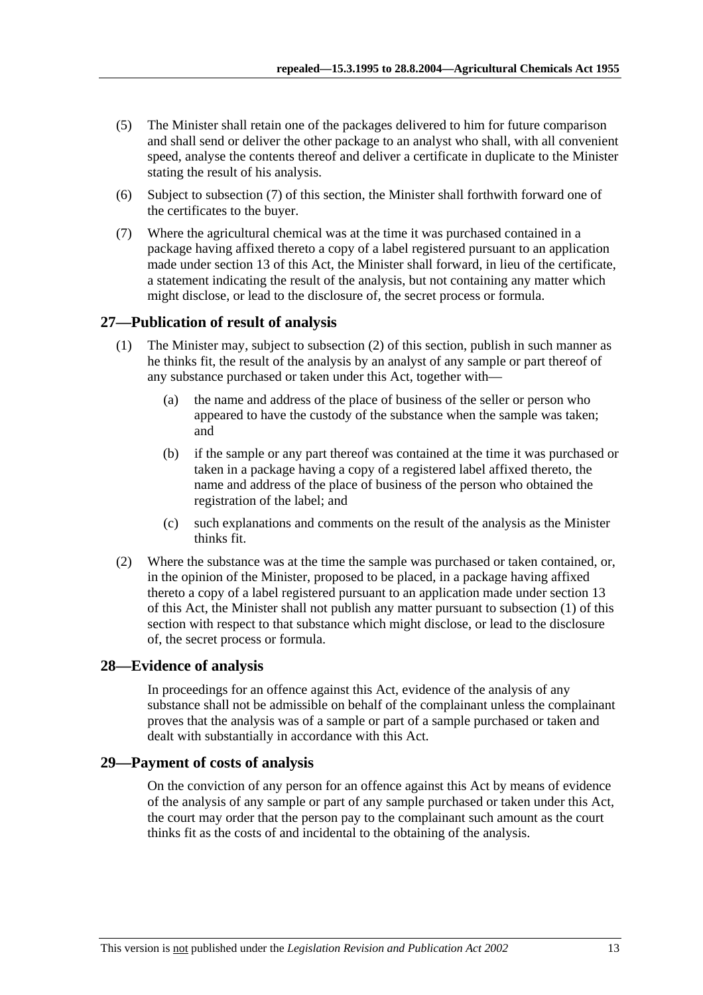- (5) The Minister shall retain one of the packages delivered to him for future comparison and shall send or deliver the other package to an analyst who shall, with all convenient speed, analyse the contents thereof and deliver a certificate in duplicate to the Minister stating the result of his analysis.
- (6) Subject to subsection (7) of this section, the Minister shall forthwith forward one of the certificates to the buyer.
- (7) Where the agricultural chemical was at the time it was purchased contained in a package having affixed thereto a copy of a label registered pursuant to an application made under section 13 of this Act, the Minister shall forward, in lieu of the certificate, a statement indicating the result of the analysis, but not containing any matter which might disclose, or lead to the disclosure of, the secret process or formula.

## **27—Publication of result of analysis**

- (1) The Minister may, subject to subsection (2) of this section, publish in such manner as he thinks fit, the result of the analysis by an analyst of any sample or part thereof of any substance purchased or taken under this Act, together with—
	- (a) the name and address of the place of business of the seller or person who appeared to have the custody of the substance when the sample was taken; and
	- (b) if the sample or any part thereof was contained at the time it was purchased or taken in a package having a copy of a registered label affixed thereto, the name and address of the place of business of the person who obtained the registration of the label; and
	- (c) such explanations and comments on the result of the analysis as the Minister thinks fit.
- (2) Where the substance was at the time the sample was purchased or taken contained, or, in the opinion of the Minister, proposed to be placed, in a package having affixed thereto a copy of a label registered pursuant to an application made under section 13 of this Act, the Minister shall not publish any matter pursuant to subsection (1) of this section with respect to that substance which might disclose, or lead to the disclosure of, the secret process or formula.

## **28—Evidence of analysis**

In proceedings for an offence against this Act, evidence of the analysis of any substance shall not be admissible on behalf of the complainant unless the complainant proves that the analysis was of a sample or part of a sample purchased or taken and dealt with substantially in accordance with this Act.

## **29—Payment of costs of analysis**

On the conviction of any person for an offence against this Act by means of evidence of the analysis of any sample or part of any sample purchased or taken under this Act, the court may order that the person pay to the complainant such amount as the court thinks fit as the costs of and incidental to the obtaining of the analysis.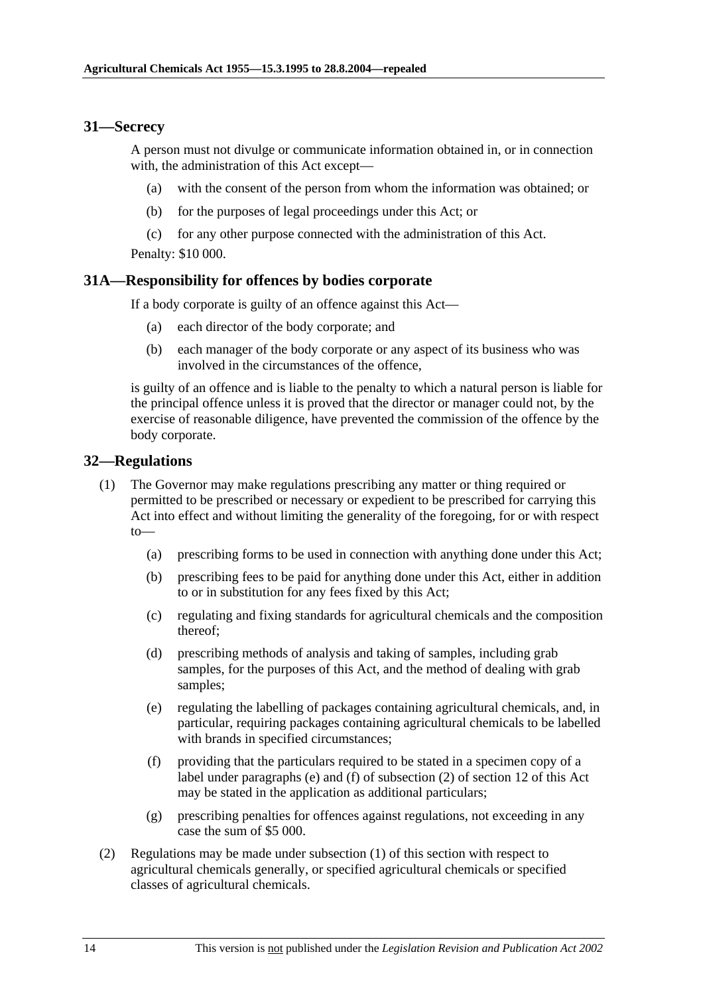## **31—Secrecy**

A person must not divulge or communicate information obtained in, or in connection with, the administration of this Act except—

- (a) with the consent of the person from whom the information was obtained; or
- (b) for the purposes of legal proceedings under this Act; or
- (c) for any other purpose connected with the administration of this Act.

Penalty: \$10 000.

## **31A—Responsibility for offences by bodies corporate**

If a body corporate is guilty of an offence against this Act—

- (a) each director of the body corporate; and
- (b) each manager of the body corporate or any aspect of its business who was involved in the circumstances of the offence,

is guilty of an offence and is liable to the penalty to which a natural person is liable for the principal offence unless it is proved that the director or manager could not, by the exercise of reasonable diligence, have prevented the commission of the offence by the body corporate.

## **32—Regulations**

- (1) The Governor may make regulations prescribing any matter or thing required or permitted to be prescribed or necessary or expedient to be prescribed for carrying this Act into effect and without limiting the generality of the foregoing, for or with respect  $to$ —
	- (a) prescribing forms to be used in connection with anything done under this Act;
	- (b) prescribing fees to be paid for anything done under this Act, either in addition to or in substitution for any fees fixed by this Act;
	- (c) regulating and fixing standards for agricultural chemicals and the composition thereof;
	- (d) prescribing methods of analysis and taking of samples, including grab samples, for the purposes of this Act, and the method of dealing with grab samples;
	- (e) regulating the labelling of packages containing agricultural chemicals, and, in particular, requiring packages containing agricultural chemicals to be labelled with brands in specified circumstances;
	- (f) providing that the particulars required to be stated in a specimen copy of a label under paragraphs (e) and (f) of subsection (2) of section 12 of this Act may be stated in the application as additional particulars;
	- (g) prescribing penalties for offences against regulations, not exceeding in any case the sum of \$5 000.
- (2) Regulations may be made under subsection (1) of this section with respect to agricultural chemicals generally, or specified agricultural chemicals or specified classes of agricultural chemicals.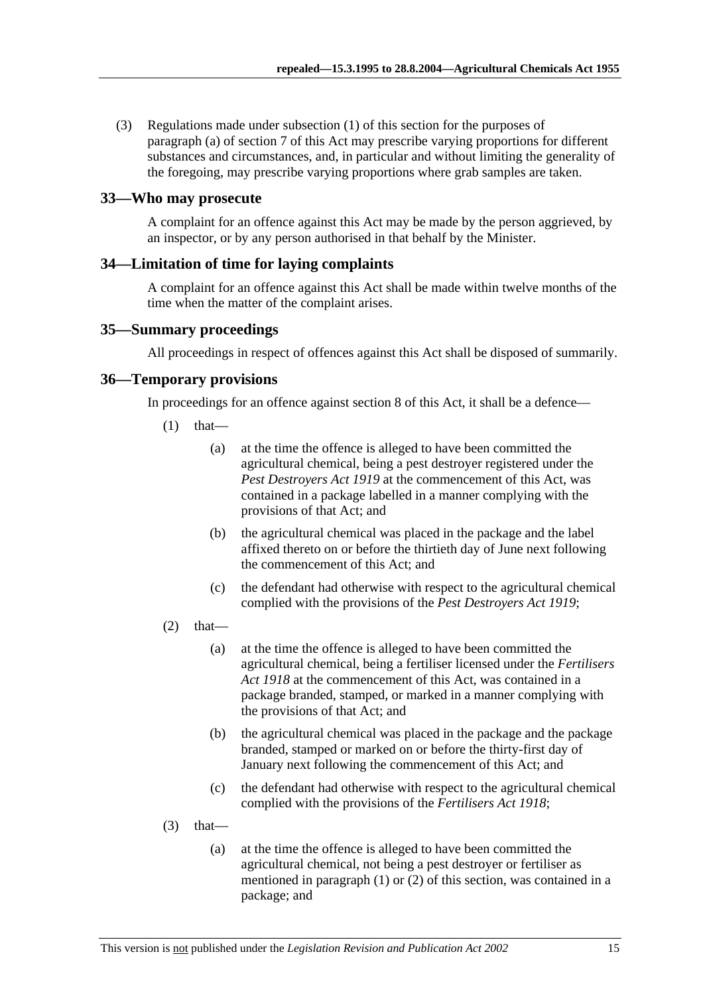(3) Regulations made under subsection (1) of this section for the purposes of paragraph (a) of section 7 of this Act may prescribe varying proportions for different substances and circumstances, and, in particular and without limiting the generality of the foregoing, may prescribe varying proportions where grab samples are taken.

#### **33—Who may prosecute**

A complaint for an offence against this Act may be made by the person aggrieved, by an inspector, or by any person authorised in that behalf by the Minister.

#### **34—Limitation of time for laying complaints**

A complaint for an offence against this Act shall be made within twelve months of the time when the matter of the complaint arises.

#### **35—Summary proceedings**

All proceedings in respect of offences against this Act shall be disposed of summarily.

#### **36—Temporary provisions**

In proceedings for an offence against section 8 of this Act, it shall be a defence—

- $(1)$  that—
	- (a) at the time the offence is alleged to have been committed the agricultural chemical, being a pest destroyer registered under the *Pest Destroyers Act 1919* at the commencement of this Act, was contained in a package labelled in a manner complying with the provisions of that Act; and
	- (b) the agricultural chemical was placed in the package and the label affixed thereto on or before the thirtieth day of June next following the commencement of this Act; and
	- (c) the defendant had otherwise with respect to the agricultural chemical complied with the provisions of the *Pest Destroyers Act 1919*;
- $(2)$  that—
	- (a) at the time the offence is alleged to have been committed the agricultural chemical, being a fertiliser licensed under the *Fertilisers Act 1918* at the commencement of this Act, was contained in a package branded, stamped, or marked in a manner complying with the provisions of that Act; and
	- (b) the agricultural chemical was placed in the package and the package branded, stamped or marked on or before the thirty-first day of January next following the commencement of this Act; and
	- (c) the defendant had otherwise with respect to the agricultural chemical complied with the provisions of the *Fertilisers Act 1918*;
- $(3)$  that—
	- (a) at the time the offence is alleged to have been committed the agricultural chemical, not being a pest destroyer or fertiliser as mentioned in paragraph (1) or (2) of this section, was contained in a package; and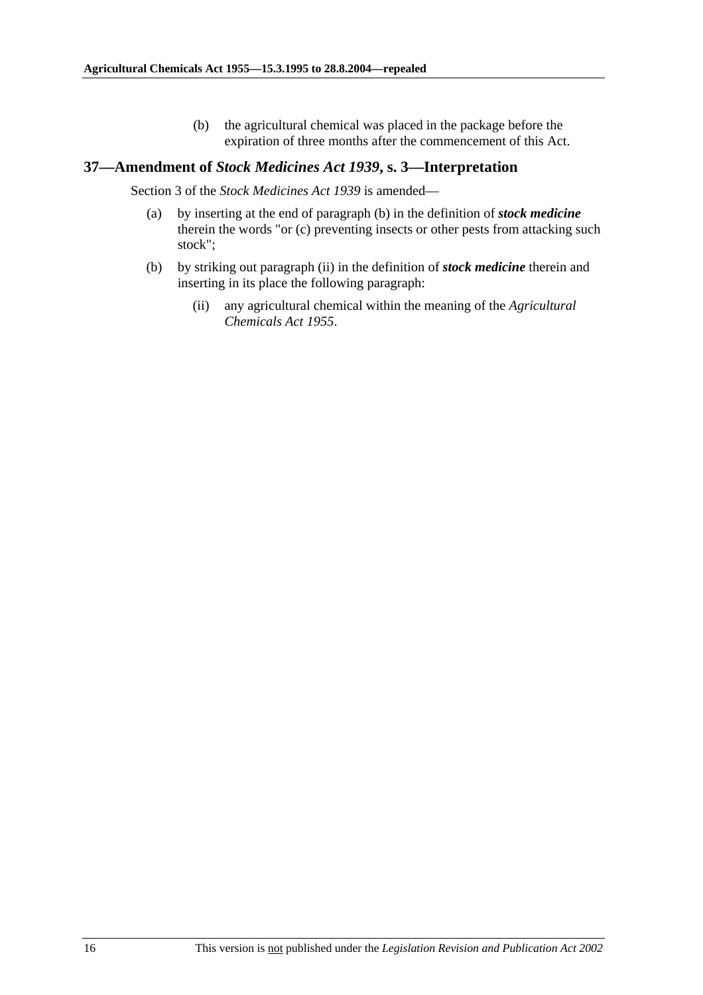(b) the agricultural chemical was placed in the package before the expiration of three months after the commencement of this Act.

#### **37—Amendment of** *Stock Medicines Act 1939***, s. 3—Interpretation**

Section 3 of the *Stock Medicines Act 1939* is amended—

- (a) by inserting at the end of paragraph (b) in the definition of *stock medicine* therein the words "or (c) preventing insects or other pests from attacking such stock";
- (b) by striking out paragraph (ii) in the definition of *stock medicine* therein and inserting in its place the following paragraph:
	- (ii) any agricultural chemical within the meaning of the *Agricultural Chemicals Act 1955*.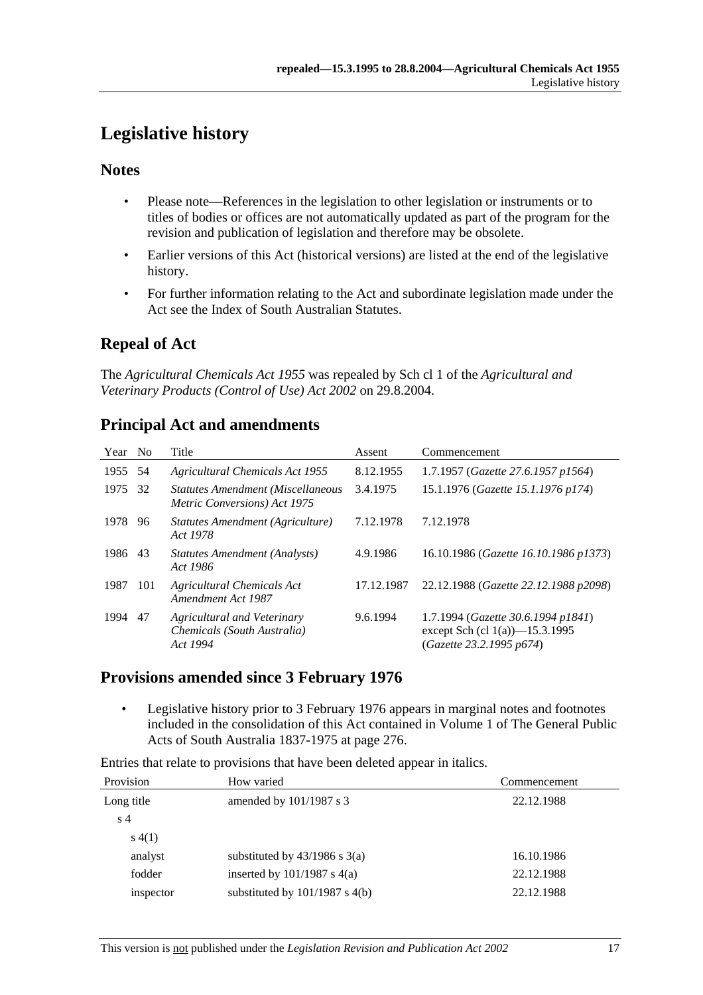# **Legislative history**

## **Notes**

- Please note—References in the legislation to other legislation or instruments or to titles of bodies or offices are not automatically updated as part of the program for the revision and publication of legislation and therefore may be obsolete.
- Earlier versions of this Act (historical versions) are listed at the end of the legislative history.
- For further information relating to the Act and subordinate legislation made under the Act see the Index of South Australian Statutes.

# **Repeal of Act**

The *Agricultural Chemicals Act 1955* was repealed by Sch cl 1 of the *Agricultural and Veterinary Products (Control of Use) Act 2002* on 29.8.2004.

| Year No |     | Title                                                                            | Assent     | Commencement                                                                                        |
|---------|-----|----------------------------------------------------------------------------------|------------|-----------------------------------------------------------------------------------------------------|
| 1955    | 54  | <b>Agricultural Chemicals Act 1955</b>                                           | 8.12.1955  | 1.7.1957 (Gazette 27.6.1957 p1564)                                                                  |
| 1975    | 32  | <b>Statutes Amendment (Miscellaneous</b><br><i>Metric Conversions</i> ) Act 1975 | 3.4.1975   | 15.1.1976 (Gazette 15.1.1976 p174)                                                                  |
| 1978    | 96  | Statutes Amendment (Agriculture)<br>Act 1978                                     | 7.12.1978  | 7.12.1978                                                                                           |
| 1986    | 43  | Statutes Amendment (Analysts)<br>Act 1986                                        | 4.9.1986   | 16.10.1986 (Gazette 16.10.1986 p1373)                                                               |
| 1987    | 101 | <b>Agricultural Chemicals Act</b><br>Amendment Act 1987                          | 17.12.1987 | 22.12.1988 (Gazette 22.12.1988 p2098)                                                               |
| 1994    | 47  | Agricultural and Veterinary<br>Chemicals (South Australia)<br>Act 1994           | 9.6.1994   | 1.7.1994 (Gazette 30.6.1994 p1841)<br>except Sch (cl $1(a)$ )—15.3.1995<br>(Gazette 23.2.1995 p674) |

# **Principal Act and amendments**

## **Provisions amended since 3 February 1976**

 • Legislative history prior to 3 February 1976 appears in marginal notes and footnotes included in the consolidation of this Act contained in Volume 1 of The General Public Acts of South Australia 1837-1975 at page 276.

Entries that relate to provisions that have been deleted appear in italics.

| Provision      | How varied                         | Commencement |  |
|----------------|------------------------------------|--------------|--|
| Long title     | amended by $101/1987$ s 3          | 22.12.1988   |  |
| s <sub>4</sub> |                                    |              |  |
| s(4(1))        |                                    |              |  |
| analyst        | substituted by $43/1986$ s $3(a)$  | 16.10.1986   |  |
| fodder         | inserted by $101/1987$ s $4(a)$    | 22.12.1988   |  |
| inspector      | substituted by $101/1987$ s $4(b)$ | 22.12.1988   |  |
|                |                                    |              |  |